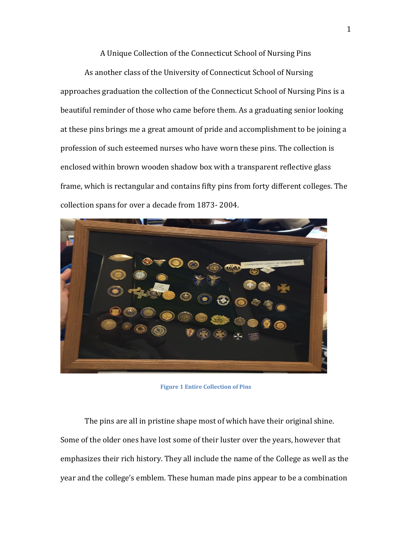A Unique Collection of the Connecticut School of Nursing Pins

As another class of the University of Connecticut School of Nursing approaches graduation the collection of the Connecticut School of Nursing Pins is a beautiful reminder of those who came before them. As a graduating senior looking at these pins brings me a great amount of pride and accomplishment to be joining a profession of such esteemed nurses who have worn these pins. The collection is enclosed within brown wooden shadow box with a transparent reflective glass frame, which is rectangular and contains fifty pins from forty different colleges. The collection spans for over a decade from 1873- 2004.



**Figure 1 Entire Collection of Pins**

The pins are all in pristine shape most of which have their original shine. Some of the older ones have lost some of their luster over the years, however that emphasizes their rich history. They all include the name of the College as well as the year and the college's emblem. These human made pins appear to be a combination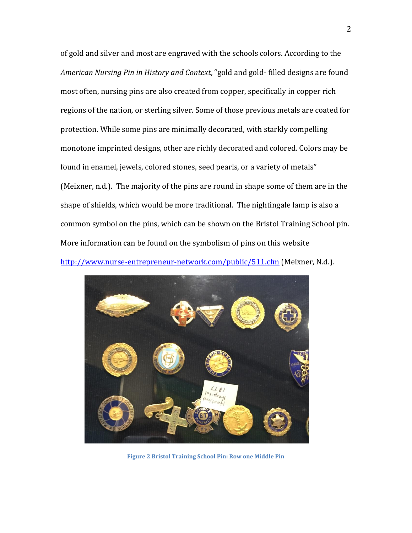of gold and silver and most are engraved with the schools colors. According to the *American Nursing Pin in History and Context*, "gold and gold- filled designs are found most often, nursing pins are also created from copper, specifically in copper rich regions of the nation, or sterling silver. Some of those previous metals are coated for protection. While some pins are minimally decorated, with starkly compelling monotone imprinted designs, other are richly decorated and colored. Colors may be found in enamel, jewels, colored stones, seed pearls, or a variety of metals" (Meixner, n.d.). The majority of the pins are round in shape some of them are in the shape of shields, which would be more traditional. The nightingale lamp is also a common symbol on the pins, which can be shown on the Bristol Training School pin. More information can be found on the symbolism of pins on this website <http://www.nurse-entrepreneur-network.com/public/511.cfm> (Meixner, N.d.).



**Figure 2 Bristol Training School Pin: Row one Middle Pin**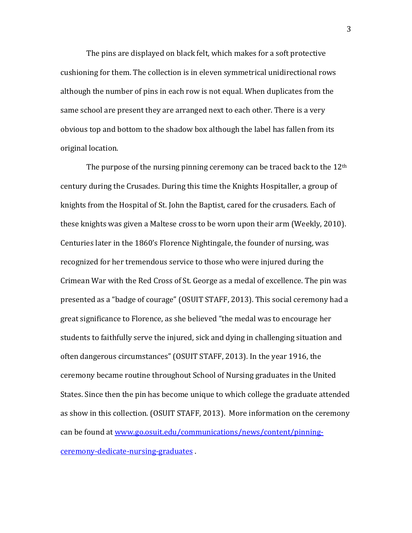The pins are displayed on black felt, which makes for a soft protective cushioning for them. The collection is in eleven symmetrical unidirectional rows although the number of pins in each row is not equal. When duplicates from the same school are present they are arranged next to each other. There is a very obvious top and bottom to the shadow box although the label has fallen from its original location.

The purpose of the nursing pinning ceremony can be traced back to the  $12<sup>th</sup>$ century during the Crusades. During this time the Knights Hospitaller, a group of knights from the Hospital of St. John the Baptist, cared for the crusaders. Each of these knights was given a Maltese cross to be worn upon their arm (Weekly, 2010). Centuries later in the 1860's Florence Nightingale, the founder of nursing, was recognized for her tremendous service to those who were injured during the Crimean War with the Red Cross of St. George as a medal of excellence. The pin was presented as a "badge of courage" (OSUIT STAFF, 2013). This social ceremony had a great significance to Florence, as she believed "the medal was to encourage her students to faithfully serve the injured, sick and dying in challenging situation and often dangerous circumstances" (OSUIT STAFF, 2013). In the year 1916, the ceremony became routine throughout School of Nursing graduates in the United States. Since then the pin has become unique to which college the graduate attended as show in this collection. (OSUIT STAFF, 2013). More information on the ceremony can be found a[t www.go.osuit.edu/communications/news/content/pinning](http://www.go.osuit.edu/communications/news/content/pinning-ceremony-dedicate-nursing-graduates)[ceremony-dedicate-nursing-graduates](http://www.go.osuit.edu/communications/news/content/pinning-ceremony-dedicate-nursing-graduates) .

3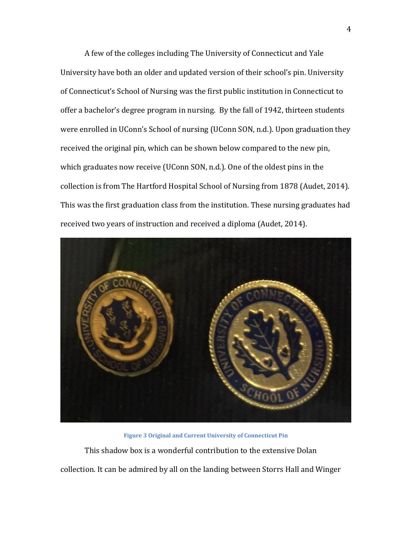A few of the colleges including The University of Connecticut and Yale University have both an older and updated version of their school's pin. University of Connecticut's School of Nursing was the first public institution in Connecticut to offer a bachelor's degree program in nursing. By the fall of 1942, thirteen students were enrolled in UConn's School of nursing (UConn SON, n.d.). Upon graduation they received the original pin, which can be shown below compared to the new pin, which graduates now receive (UConn SON, n.d.). One of the oldest pins in the collection is from The Hartford Hospital School of Nursing from 1878 (Audet, 2014). This was the first graduation class from the institution. These nursing graduates had received two years of instruction and received a diploma (Audet, 2014).



**Figure 3 Original and Current University of Connecticut Pin** This shadow box is a wonderful contribution to the extensive Dolan collection. It can be admired by all on the landing between Storrs Hall and Winger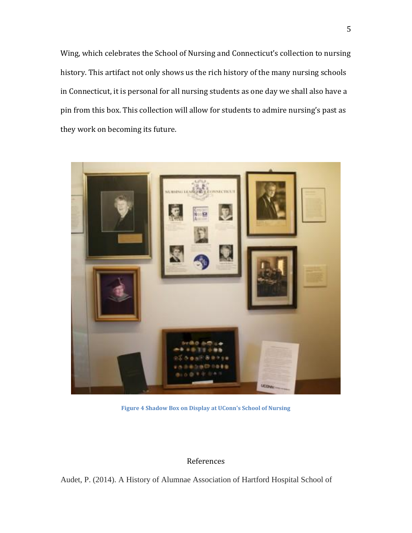Wing, which celebrates the School of Nursing and Connecticut's collection to nursing history. This artifact not only shows us the rich history of the many nursing schools in Connecticut, it is personal for all nursing students as one day we shall also have a pin from this box. This collection will allow for students to admire nursing's past as they work on becoming its future.



**Figure 4 Shadow Box on Display at UConn's School of Nursing**

## References

Audet, P. (2014). A History of Alumnae Association of Hartford Hospital School of